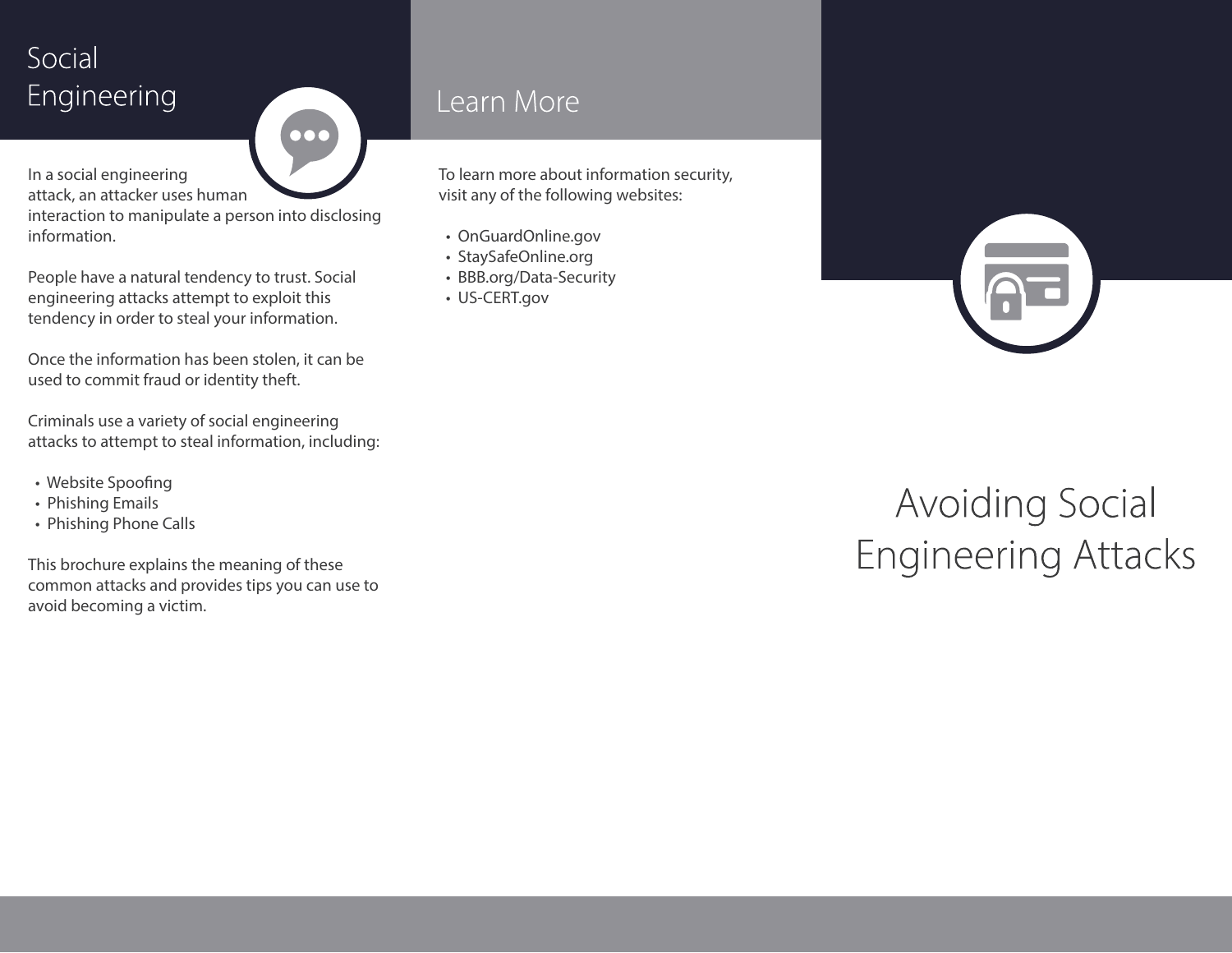# Social Engineering

 $\overline{\mathbf{O}}$ 

In a social engineering attack, an attacker uses human

interaction to manipulate a person into disclosing information.

People have a natural tendency to trust. Social engineering attacks attempt to exploit this tendency in order to steal your information.

Once the information has been stolen, it can be used to commit fraud or identity theft.

Criminals use a variety of social engineering attacks to attempt to steal information, including:

- Website Spoofing
- Phishing Emails
- Phishing Phone Calls

This brochure explains the meaning of these common attacks and provides tips you can use to avoid becoming a victim.

### Learn More

To learn more about information security, visit any of the following websites:

- OnGuardOnline.gov
- StaySafeOnline.org
- BBB.org/Data-Security
- US-CERT.gov

# **Avoiding Social Engineering Attacks**